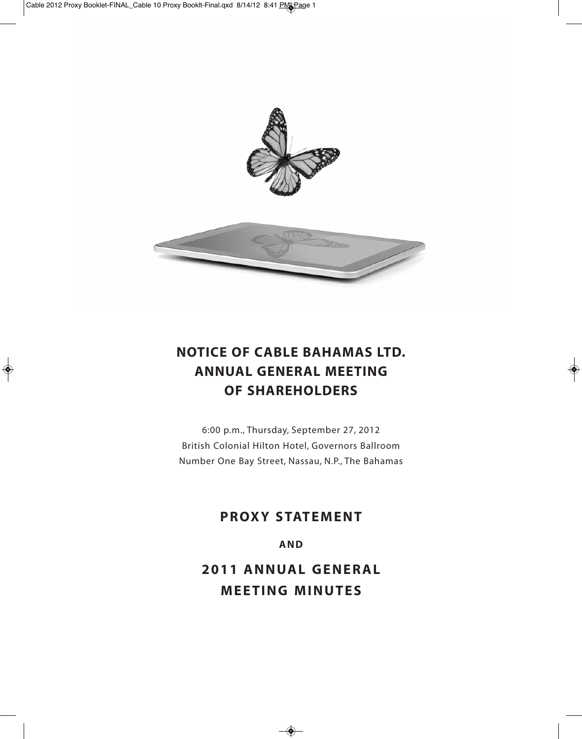



# **NOTICE OF CABLE BAHAMAS LTD. ANNUAL GENERAL MEETING OF SHAREHOLDERS**

6:00 p.m., Thursday, September 27, 2012 British Colonial Hilton Hotel, Governors Ballroom Number One Bay Street, Nassau, N.P., The Bahamas

# **PROXY STATEMENT**

**AND**

**2011 ANNUAL GENERAL MEETING MINUTES**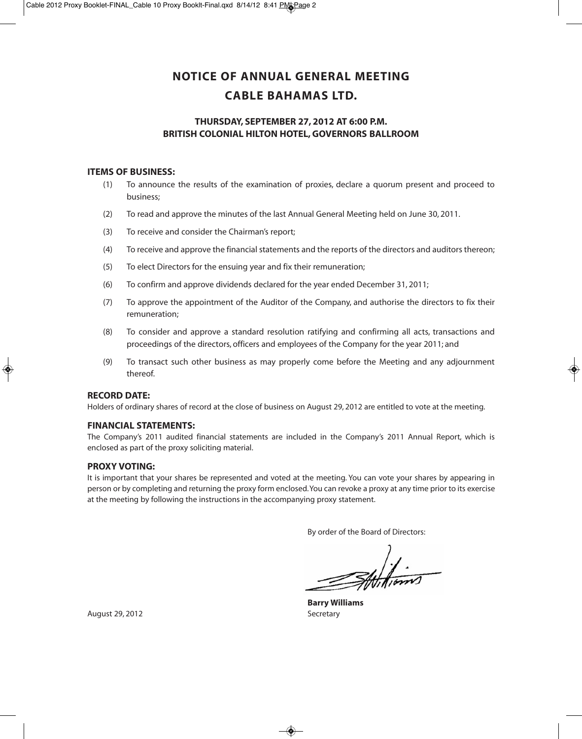# **NOTICE OF ANNUAL GENERAL MEETING CABLE BAHAMAS LTD.**

# **THURSDAY, SEPTEMBER 27, 2012 AT 6:00 P.M. BRITISH COLONIAL HILTON HOTEL, GOVERNORS BALLROOM**

#### **ITEMS OF BUSINESS:**

- (1) To announce the results of the examination of proxies, declare a quorum present and proceed to business;
- (2) To read and approve the minutes of the last Annual General Meeting held on June 30, 2011.
- (3) To receive and consider the Chairman's report;
- (4) To receive and approve the financial statements and the reports of the directors and auditors thereon;
- (5) To elect Directors for the ensuing year and fix their remuneration;
- (6) To confirm and approve dividends declared for the year ended December 31, 2011;
- (7) To approve the appointment of the Auditor of the Company, and authorise the directors to fix their remuneration;
- (8) To consider and approve a standard resolution ratifying and confirming all acts, transactions and proceedings of the directors, officers and employees of the Company for the year 2011; and
- (9) To transact such other business as may properly come before the Meeting and any adjournment thereof.

#### **RECORD DATE:**

Holders of ordinary shares of record at the close of business on August 29, 2012 are entitled to vote at the meeting.

#### **FINANCIAL STATEMENTS:**

The Company's 2011 audited financial statements are included in the Company's 2011 Annual Report, which is enclosed as part of the proxy soliciting material.

#### **PROXY VOTING:**

It is important that your shares be represented and voted at the meeting. You can vote your shares by appearing in person or by completing and returning the proxy form enclosed. You can revoke a proxy at any time prior to its exercise at the meeting by following the instructions in the accompanying proxy statement.

By order of the Board of Directors:

Attitions

**Barry Williams**

August 29, 2012 **Secretary**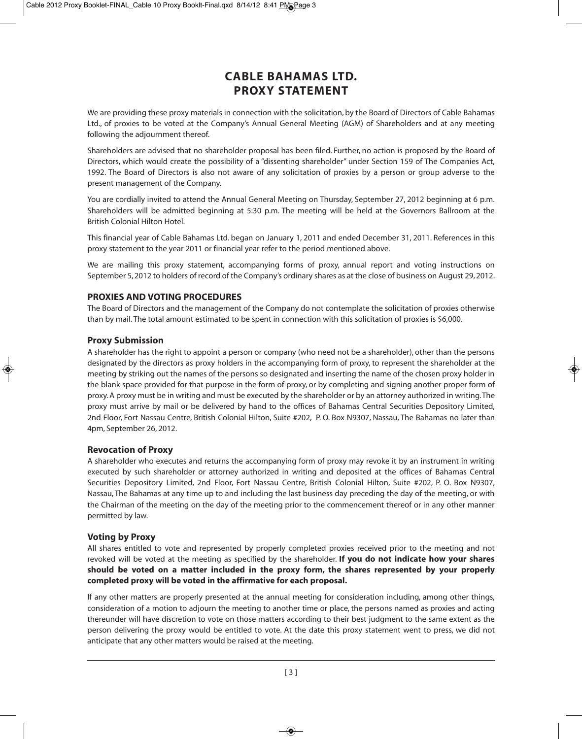# **CABLE BAHAMAS LTD. PROXY STATEMENT**

We are providing these proxy materials in connection with the solicitation, by the Board of Directors of Cable Bahamas Ltd., of proxies to be voted at the Company's Annual General Meeting (AGM) of Shareholders and at any meeting following the adjournment thereof.

Shareholders are advised that no shareholder proposal has been filed. Further, no action is proposed by the Board of Directors, which would create the possibility of a "dissenting shareholder" under Section 159 of The Companies Act, 1992. The Board of Directors is also not aware of any solicitation of proxies by a person or group adverse to the present management of the Company.

You are cordially invited to attend the Annual General Meeting on Thursday, September 27, 2012 beginning at 6 p.m. Shareholders will be admitted beginning at 5:30 p.m. The meeting will be held at the Governors Ballroom at the British Colonial Hilton Hotel.

This financial year of Cable Bahamas Ltd. began on January 1, 2011 and ended December 31, 2011. References in this proxy statement to the year 2011 or financial year refer to the period mentioned above.

We are mailing this proxy statement, accompanying forms of proxy, annual report and voting instructions on September 5, 2012 to holders of record of the Company's ordinary shares as at the close of business on August 29, 2012.

# **PROXIES AND VOTING PROCEDURES**

The Board of Directors and the management of the Company do not contemplate the solicitation of proxies otherwise than by mail. The total amount estimated to be spent in connection with this solicitation of proxies is \$6,000.

#### **Proxy Submission**

A shareholder has the right to appoint a person or company (who need not be a shareholder), other than the persons designated by the directors as proxy holders in the accompanying form of proxy, to represent the shareholder at the meeting by striking out the names of the persons so designated and inserting the name of the chosen proxy holder in the blank space provided for that purpose in the form of proxy, or by completing and signing another proper form of proxy. A proxy must be in writing and must be executed by the shareholder or by an attorney authorized in writing. The proxy must arrive by mail or be delivered by hand to the offices of Bahamas Central Securities Depository Limited, 2nd Floor, Fort Nassau Centre, British Colonial Hilton, Suite #202, P. O. Box N9307, Nassau, The Bahamas no later than 4pm, September 26, 2012.

#### **Revocation of Proxy**

A shareholder who executes and returns the accompanying form of proxy may revoke it by an instrument in writing executed by such shareholder or attorney authorized in writing and deposited at the offices of Bahamas Central Securities Depository Limited, 2nd Floor, Fort Nassau Centre, British Colonial Hilton, Suite #202, P. O. Box N9307, Nassau, The Bahamas at any time up to and including the last business day preceding the day of the meeting, or with the Chairman of the meeting on the day of the meeting prior to the commencement thereof or in any other manner permitted by law.

#### **Voting by Proxy**

All shares entitled to vote and represented by properly completed proxies received prior to the meeting and not revoked will be voted at the meeting as specified by the shareholder. **If you do not indicate how your shares should be voted on a matter included in the proxy form, the shares represented by your properly completed proxy will be voted in the affirmative for each proposal.**

If any other matters are properly presented at the annual meeting for consideration including, among other things, consideration of a motion to adjourn the meeting to another time or place, the persons named as proxies and acting thereunder will have discretion to vote on those matters according to their best judgment to the same extent as the person delivering the proxy would be entitled to vote. At the date this proxy statement went to press, we did not anticipate that any other matters would be raised at the meeting.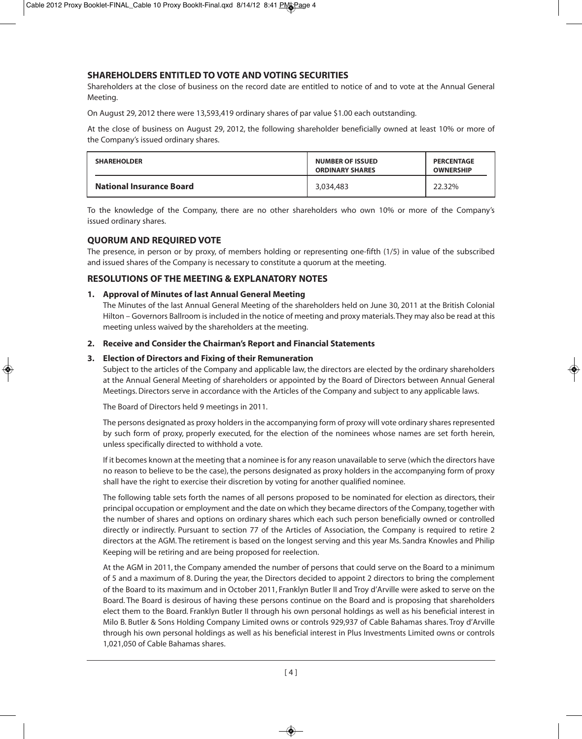# **SHAREHOLDERS ENTITLED TO VOTE AND VOTING SECURITIES**

Shareholders at the close of business on the record date are entitled to notice of and to vote at the Annual General Meeting.

On August 29, 2012 there were 13,593,419 ordinary shares of par value \$1.00 each outstanding.

At the close of business on August 29, 2012, the following shareholder beneficially owned at least 10% or more of the Company's issued ordinary shares.

| <b>SHAREHOLDER</b>              | <b>NUMBER OF ISSUED</b><br><b>ORDINARY SHARES</b> | <b>PERCENTAGE</b><br><b>OWNERSHIP</b> |
|---------------------------------|---------------------------------------------------|---------------------------------------|
| <b>National Insurance Board</b> | 3.034.483                                         | 22.32%                                |

To the knowledge of the Company, there are no other shareholders who own 10% or more of the Company's issued ordinary shares.

# **QUORUM AND REQUIRED VOTE**

The presence, in person or by proxy, of members holding or representing one-fifth (1/5) in value of the subscribed and issued shares of the Company is necessary to constitute a quorum at the meeting.

# **RESOLUTIONS OF THE MEETING & EXPLANATORY NOTES**

#### **1. Approval of Minutes of last Annual General Meeting**

The Minutes of the last Annual General Meeting of the shareholders held on June 30, 2011 at the British Colonial Hilton – Governors Ballroom is included in the notice of meeting and proxy materials. They may also be read at this meeting unless waived by the shareholders at the meeting.

#### **2. Receive and Consider the Chairman's Report and Financial Statements**

#### **3. Election of Directors and Fixing of their Remuneration**

Subject to the articles of the Company and applicable law, the directors are elected by the ordinary shareholders at the Annual General Meeting of shareholders or appointed by the Board of Directors between Annual General Meetings. Directors serve in accordance with the Articles of the Company and subject to any applicable laws.

The Board of Directors held 9 meetings in 2011.

The persons designated as proxy holders in the accompanying form of proxy will vote ordinary shares represented by such form of proxy, properly executed, for the election of the nominees whose names are set forth herein, unless specifically directed to withhold a vote.

If it becomes known at the meeting that a nominee is for any reason unavailable to serve (which the directors have no reason to believe to be the case), the persons designated as proxy holders in the accompanying form of proxy shall have the right to exercise their discretion by voting for another qualified nominee.

The following table sets forth the names of all persons proposed to be nominated for election as directors, their principal occupation or employment and the date on which they became directors of the Company, together with the number of shares and options on ordinary shares which each such person beneficially owned or controlled directly or indirectly. Pursuant to section 77 of the Articles of Association, the Company is required to retire 2 directors at the AGM. The retirement is based on the longest serving and this year Ms. Sandra Knowles and Philip Keeping will be retiring and are being proposed for reelection.

At the AGM in 2011, the Company amended the number of persons that could serve on the Board to a minimum of 5 and a maximum of 8. During the year, the Directors decided to appoint 2 directors to bring the complement of the Board to its maximum and in October 2011, Franklyn Butler II and Troy d'Arville were asked to serve on the Board. The Board is desirous of having these persons continue on the Board and is proposing that shareholders elect them to the Board. Franklyn Butler II through his own personal holdings as well as his beneficial interest in Milo B. Butler & Sons Holding Company Limited owns or controls 929,937 of Cable Bahamas shares. Troy d'Arville through his own personal holdings as well as his beneficial interest in Plus Investments Limited owns or controls 1,021,050 of Cable Bahamas shares.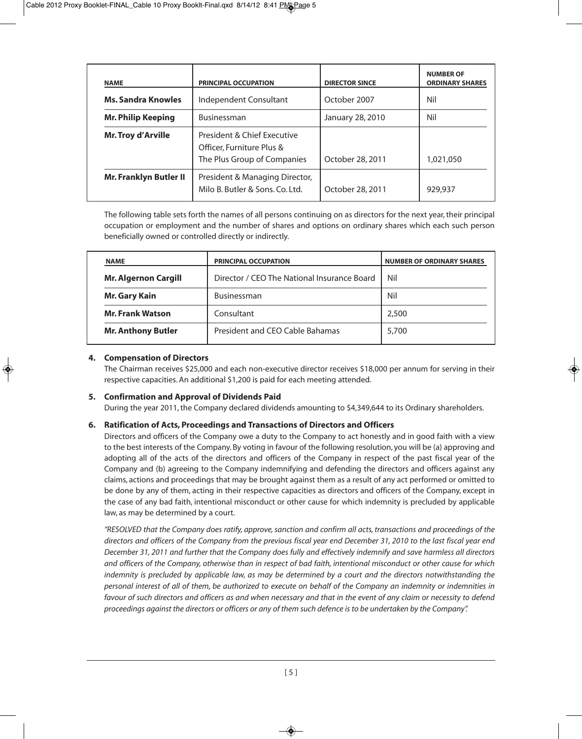| <b>NAME</b>                   | <b>PRINCIPAL OCCUPATION</b>                                                             | <b>DIRECTOR SINCE</b> | <b>NUMBER OF</b><br><b>ORDINARY SHARES</b> |
|-------------------------------|-----------------------------------------------------------------------------------------|-----------------------|--------------------------------------------|
| <b>Ms. Sandra Knowles</b>     | Independent Consultant                                                                  | October 2007          | Nil                                        |
| <b>Mr. Philip Keeping</b>     | <b>Businessman</b>                                                                      | January 28, 2010      | Nil                                        |
| <b>Mr. Troy d'Arville</b>     | President & Chief Executive<br>Officer, Furniture Plus &<br>The Plus Group of Companies | October 28, 2011      | 1,021,050                                  |
| <b>Mr. Franklyn Butler II</b> | President & Managing Director,<br>Milo B. Butler & Sons. Co. Ltd.                       | October 28, 2011      | 929,937                                    |

The following table sets forth the names of all persons continuing on as directors for the next year, their principal occupation or employment and the number of shares and options on ordinary shares which each such person beneficially owned or controlled directly or indirectly.

| <b>NAME</b>                 | <b>PRINCIPAL OCCUPATION</b>                 | <b>NUMBER OF ORDINARY SHARES</b> |
|-----------------------------|---------------------------------------------|----------------------------------|
| <b>Mr. Algernon Cargill</b> | Director / CEO The National Insurance Board | Nil                              |
| <b>Mr. Gary Kain</b>        | <b>Businessman</b>                          | Nil                              |
| <b>Mr. Frank Watson</b>     | Consultant                                  | 2,500                            |
| <b>Mr. Anthony Butler</b>   | President and CEO Cable Bahamas             | 5,700                            |

#### **4. Compensation of Directors**

The Chairman receives \$25,000 and each non-executive director receives \$18,000 per annum for serving in their respective capacities. An additional \$1,200 is paid for each meeting attended.

#### **5. Confirmation and Approval of Dividends Paid**

During the year 2011, the Company declared dividends amounting to \$4,349,644 to its Ordinary shareholders.

#### **6. Ratification of Acts, Proceedings and Transactions of Directors and Officers**

Directors and officers of the Company owe a duty to the Company to act honestly and in good faith with a view to the best interests of the Company. By voting in favour of the following resolution, you will be (a) approving and adopting all of the acts of the directors and officers of the Company in respect of the past fiscal year of the Company and (b) agreeing to the Company indemnifying and defending the directors and officers against any claims, actions and proceedings that may be brought against them as a result of any act performed or omitted to be done by any of them, acting in their respective capacities as directors and officers of the Company, except in the case of any bad faith, intentional misconduct or other cause for which indemnity is precluded by applicable law, as may be determined by a court.

*"RESOLVED that the Company does ratify, approve, sanction and confirm all acts, transactions and proceedings of the directors and officers of the Company from the previous fiscal year end December 31, 2010 to the last fiscal year end December 31, 2011 and further that the Company does fully and effectively indemnify and save harmless all directors and officers of the Company, otherwise than in respect of bad faith, intentional misconduct or other cause for which indemnity is precluded by applicable law, as may be determined by a court and the directors notwithstanding the personal interest of all of them, be authorized to execute on behalf of the Company an indemnity or indemnities in favour of such directors and officers as and when necessary and that in the event of any claim or necessity to defend proceedings against the directors or officers or any of them such defence is to be undertaken by the Company".*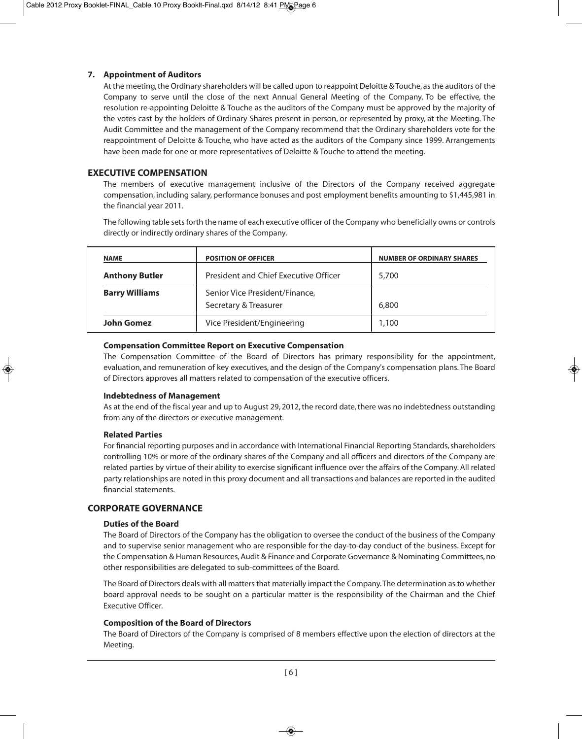### **7. Appointment of Auditors**

At the meeting, the Ordinary shareholders will be called upon to reappoint Deloitte & Touche, as the auditors of the Company to serve until the close of the next Annual General Meeting of the Company. To be effective, the resolution re-appointing Deloitte & Touche as the auditors of the Company must be approved by the majority of the votes cast by the holders of Ordinary Shares present in person, or represented by proxy, at the Meeting. The Audit Committee and the management of the Company recommend that the Ordinary shareholders vote for the reappointment of Deloitte & Touche, who have acted as the auditors of the Company since 1999. Arrangements have been made for one or more representatives of Deloitte & Touche to attend the meeting.

### **EXECUTIVE COMPENSATION**

The members of executive management inclusive of the Directors of the Company received aggregate compensation, including salary, performance bonuses and post employment benefits amounting to \$1,445,981 in the financial year 2011.

The following table sets forth the name of each executive officer of the Company who beneficially owns or controls directly or indirectly ordinary shares of the Company.

| <b>NAME</b>           | <b>POSITION OF OFFICER</b>                              | <b>NUMBER OF ORDINARY SHARES</b> |
|-----------------------|---------------------------------------------------------|----------------------------------|
| <b>Anthony Butler</b> | President and Chief Executive Officer                   | 5,700                            |
| <b>Barry Williams</b> | Senior Vice President/Finance,<br>Secretary & Treasurer | 6,800                            |
| John Gomez            | Vice President/Engineering                              | 1,100                            |

#### **Compensation Committee Report on Executive Compensation**

The Compensation Committee of the Board of Directors has primary responsibility for the appointment, evaluation, and remuneration of key executives, and the design of the Company's compensation plans. The Board of Directors approves all matters related to compensation of the executive officers.

#### **Indebtedness of Management**

As at the end of the fiscal year and up to August 29, 2012, the record date, there was no indebtedness outstanding from any of the directors or executive management.

#### **Related Parties**

For financial reporting purposes and in accordance with International Financial Reporting Standards, shareholders controlling 10% or more of the ordinary shares of the Company and all officers and directors of the Company are related parties by virtue of their ability to exercise significant influence over the affairs of the Company. All related party relationships are noted in this proxy document and all transactions and balances are reported in the audited financial statements.

### **CORPORATE GOVERNANCE**

#### **Duties of the Board**

The Board of Directors of the Company has the obligation to oversee the conduct of the business of the Company and to supervise senior management who are responsible for the day-to-day conduct of the business. Except for the Compensation & Human Resources, Audit & Finance and Corporate Governance & Nominating Committees, no other responsibilities are delegated to sub-committees of the Board.

The Board of Directors deals with all matters that materially impact the Company. The determination as to whether board approval needs to be sought on a particular matter is the responsibility of the Chairman and the Chief Executive Officer.

#### **Composition of the Board of Directors**

The Board of Directors of the Company is comprised of 8 members effective upon the election of directors at the Meeting.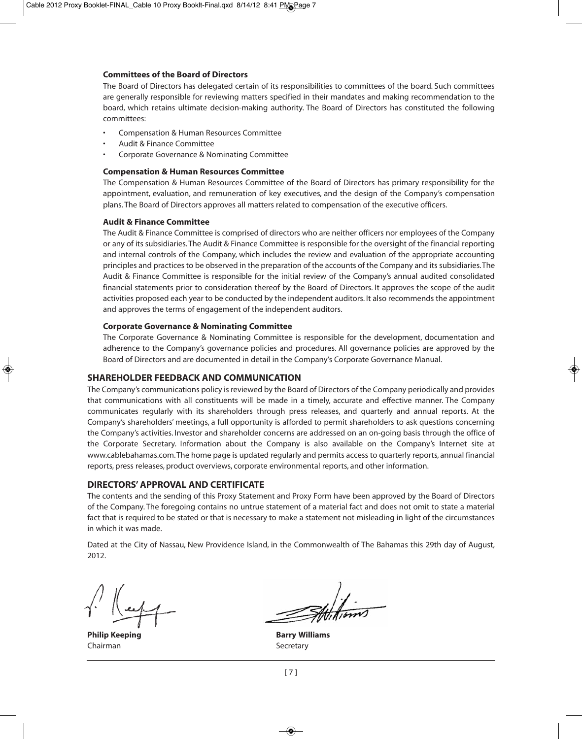#### **Committees of the Board of Directors**

The Board of Directors has delegated certain of its responsibilities to committees of the board. Such committees are generally responsible for reviewing matters specified in their mandates and making recommendation to the board, which retains ultimate decision-making authority. The Board of Directors has constituted the following committees:

- Compensation & Human Resources Committee
- Audit & Finance Committee
- Corporate Governance & Nominating Committee

#### **Compensation & Human Resources Committee**

The Compensation & Human Resources Committee of the Board of Directors has primary responsibility for the appointment, evaluation, and remuneration of key executives, and the design of the Company's compensation plans. The Board of Directors approves all matters related to compensation of the executive officers.

#### **Audit & Finance Committee**

The Audit & Finance Committee is comprised of directors who are neither officers nor employees of the Company or any of its subsidiaries. The Audit & Finance Committee is responsible for the oversight of the financial reporting and internal controls of the Company, which includes the review and evaluation of the appropriate accounting principles and practices to be observed in the preparation of the accounts of the Company and its subsidiaries. The Audit & Finance Committee is responsible for the initial review of the Company's annual audited consolidated financial statements prior to consideration thereof by the Board of Directors. It approves the scope of the audit activities proposed each year to be conducted by the independent auditors. It also recommends the appointment and approves the terms of engagement of the independent auditors.

#### **Corporate Governance & Nominating Committee**

The Corporate Governance & Nominating Committee is responsible for the development, documentation and adherence to the Company's governance policies and procedures. All governance policies are approved by the Board of Directors and are documented in detail in the Company's Corporate Governance Manual.

#### **SHAREHOLDER FEEDBACK AND COMMUNICATION**

The Company's communications policy is reviewed by the Board of Directors of the Company periodically and provides that communications with all constituents will be made in a timely, accurate and effective manner. The Company communicates regularly with its shareholders through press releases, and quarterly and annual reports. At the Company's shareholders' meetings, a full opportunity is afforded to permit shareholders to ask questions concerning the Company's activities. Investor and shareholder concerns are addressed on an on-going basis through the office of the Corporate Secretary. Information about the Company is also available on the Company's Internet site at www.cablebahamas.com. The home page is updated regularly and permits access to quarterly reports, annual financial reports, press releases, product overviews, corporate environmental reports, and other information.

#### **DIRECTORS' APPROVAL AND CERTIFICATE**

The contents and the sending of this Proxy Statement and Proxy Form have been approved by the Board of Directors of the Company. The foregoing contains no untrue statement of a material fact and does not omit to state a material fact that is required to be stated or that is necessary to make a statement not misleading in light of the circumstances in which it was made.

Dated at the City of Nassau, New Providence Island, in the Commonwealth of The Bahamas this 29th day of August, 2012.

Chairman Secretary Secretary

**Philip Keeping Barry Williams**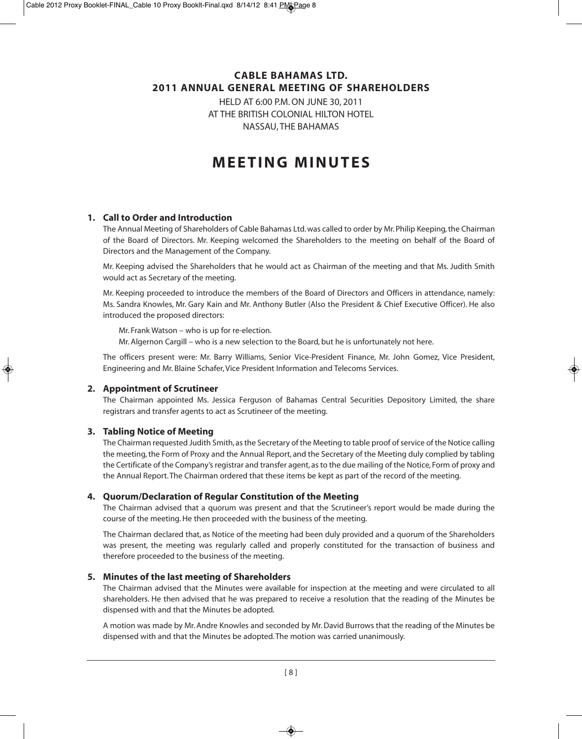# **CABLE BAHAMAS LTD. 2011 ANNUAL GENERAL MEETING OF SHAREHOLDERS**

HELD AT 6:00 P.M. ON JUNE 30, 2011 AT THE BRITISH COLONIAL HILTON HOTEL NASSAU, THE BAHAMAS

# **M E E T I N G M I N U T E S**

# **1. Call to Order and Introduction**

The Annual Meeting of Shareholders of Cable Bahamas Ltd. was called to order by Mr. Philip Keeping, the Chairman of the Board of Directors. Mr. Keeping welcomed the Shareholders to the meeting on behalf of the Board of Directors and the Management of the Company.

Mr. Keeping advised the Shareholders that he would act as Chairman of the meeting and that Ms. Judith Smith would act as Secretary of the meeting.

Mr. Keeping proceeded to introduce the members of the Board of Directors and Officers in attendance, namely: Ms. Sandra Knowles, Mr. Gary Kain and Mr. Anthony Butler (Also the President & Chief Executive Officer). He also introduced the proposed directors:

Mr. Frank Watson – who is up for re-election. Mr. Algernon Cargill – who is a new selection to the Board, but he is unfortunately not here.

The officers present were: Mr. Barry Williams, Senior Vice-President Finance, Mr. John Gomez, Vice President, Engineering and Mr. Blaine Schafer, Vice President Information and Telecoms Services.

#### **2. Appointment of Scrutineer**

The Chairman appointed Ms. Jessica Ferguson of Bahamas Central Securities Depository Limited, the share registrars and transfer agents to act as Scrutineer of the meeting.

#### **3. Tabling Notice of Meeting**

The Chairman requested Judith Smith, as the Secretary of the Meeting to table proof of service of the Notice calling the meeting, the Form of Proxy and the Annual Report, and the Secretary of the Meeting duly complied by tabling the Certificate of the Company's registrar and transfer agent, as to the due mailing of the Notice, Form of proxy and the Annual Report. The Chairman ordered that these items be kept as part of the record of the meeting.

#### **4. Quorum/Declaration of Regular Constitution of the Meeting**

The Chairman advised that a quorum was present and that the Scrutineer's report would be made during the course of the meeting. He then proceeded with the business of the meeting.

The Chairman declared that, as Notice of the meeting had been duly provided and a quorum of the Shareholders was present, the meeting was regularly called and properly constituted for the transaction of business and therefore proceeded to the business of the meeting.

#### **5. Minutes of the last meeting of Shareholders**

The Chairman advised that the Minutes were available for inspection at the meeting and were circulated to all shareholders. He then advised that he was prepared to receive a resolution that the reading of the Minutes be dispensed with and that the Minutes be adopted.

A motion was made by Mr. Andre Knowles and seconded by Mr. David Burrows that the reading of the Minutes be dispensed with and that the Minutes be adopted. The motion was carried unanimously.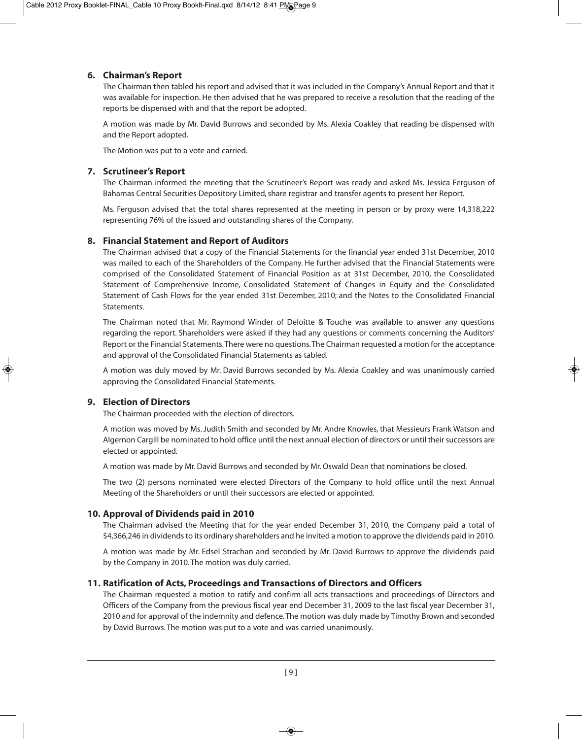### **6. Chairman's Report**

The Chairman then tabled his report and advised that it was included in the Company's Annual Report and that it was available for inspection. He then advised that he was prepared to receive a resolution that the reading of the reports be dispensed with and that the report be adopted.

A motion was made by Mr. David Burrows and seconded by Ms. Alexia Coakley that reading be dispensed with and the Report adopted.

The Motion was put to a vote and carried.

# **7. Scrutineer's Report**

The Chairman informed the meeting that the Scrutineer's Report was ready and asked Ms. Jessica Ferguson of Bahamas Central Securities Depository Limited, share registrar and transfer agents to present her Report.

Ms. Ferguson advised that the total shares represented at the meeting in person or by proxy were 14,318,222 representing 76% of the issued and outstanding shares of the Company.

# **8. Financial Statement and Report of Auditors**

The Chairman advised that a copy of the Financial Statements for the financial year ended 31st December, 2010 was mailed to each of the Shareholders of the Company. He further advised that the Financial Statements were comprised of the Consolidated Statement of Financial Position as at 31st December, 2010, the Consolidated Statement of Comprehensive Income, Consolidated Statement of Changes in Equity and the Consolidated Statement of Cash Flows for the year ended 31st December, 2010; and the Notes to the Consolidated Financial Statements.

The Chairman noted that Mr. Raymond Winder of Deloitte & Touche was available to answer any questions regarding the report. Shareholders were asked if they had any questions or comments concerning the Auditors' Report or the Financial Statements. There were no questions. The Chairman requested a motion for the acceptance and approval of the Consolidated Financial Statements as tabled.

A motion was duly moved by Mr. David Burrows seconded by Ms. Alexia Coakley and was unanimously carried approving the Consolidated Financial Statements.

# **9. Election of Directors**

The Chairman proceeded with the election of directors.

A motion was moved by Ms. Judith Smith and seconded by Mr. Andre Knowles, that Messieurs Frank Watson and Algernon Cargill be nominated to hold office until the next annual election of directors or until their successors are elected or appointed.

A motion was made by Mr. David Burrows and seconded by Mr. Oswald Dean that nominations be closed.

The two (2) persons nominated were elected Directors of the Company to hold office until the next Annual Meeting of the Shareholders or until their successors are elected or appointed.

# **10. Approval of Dividends paid in 2010**

The Chairman advised the Meeting that for the year ended December 31, 2010, the Company paid a total of \$4,366,246 in dividends to its ordinary shareholders and he invited a motion to approve the dividends paid in 2010.

A motion was made by Mr. Edsel Strachan and seconded by Mr. David Burrows to approve the dividends paid by the Company in 2010. The motion was duly carried.

# **11. Ratification of Acts, Proceedings and Transactions of Directors and Officers**

The Chairman requested a motion to ratify and confirm all acts transactions and proceedings of Directors and Officers of the Company from the previous fiscal year end December 31, 2009 to the last fiscal year December 31, 2010 and for approval of the indemnity and defence. The motion was duly made by Timothy Brown and seconded by David Burrows. The motion was put to a vote and was carried unanimously.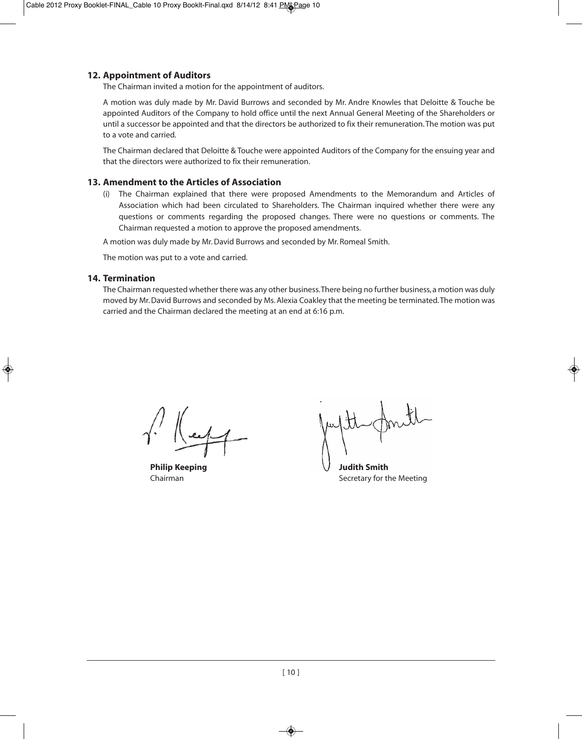### **12. Appointment of Auditors**

The Chairman invited a motion for the appointment of auditors.

A motion was duly made by Mr. David Burrows and seconded by Mr. Andre Knowles that Deloitte & Touche be appointed Auditors of the Company to hold office until the next Annual General Meeting of the Shareholders or until a successor be appointed and that the directors be authorized to fix their remuneration. The motion was put to a vote and carried.

The Chairman declared that Deloitte & Touche were appointed Auditors of the Company for the ensuing year and that the directors were authorized to fix their remuneration.

#### **13. Amendment to the Articles of Association**

(i) The Chairman explained that there were proposed Amendments to the Memorandum and Articles of Association which had been circulated to Shareholders. The Chairman inquired whether there were any questions or comments regarding the proposed changes. There were no questions or comments. The Chairman requested a motion to approve the proposed amendments.

A motion was duly made by Mr. David Burrows and seconded by Mr. Romeal Smith.

The motion was put to a vote and carried.

#### **14. Termination**

The Chairman requested whether there was any other business. There being no further business, a motion was duly moved by Mr. David Burrows and seconded by Ms. Alexia Coakley that the meeting be terminated. The motion was carried and the Chairman declared the meeting at an end at 6:16 p.m.

**Philip Keeping Judith Smith**

Chairman **Secretary for the Meeting**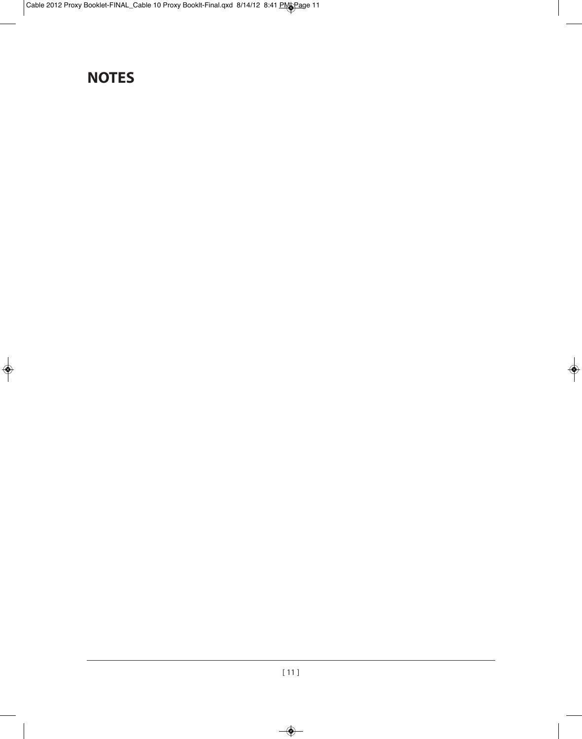# **NOTES**